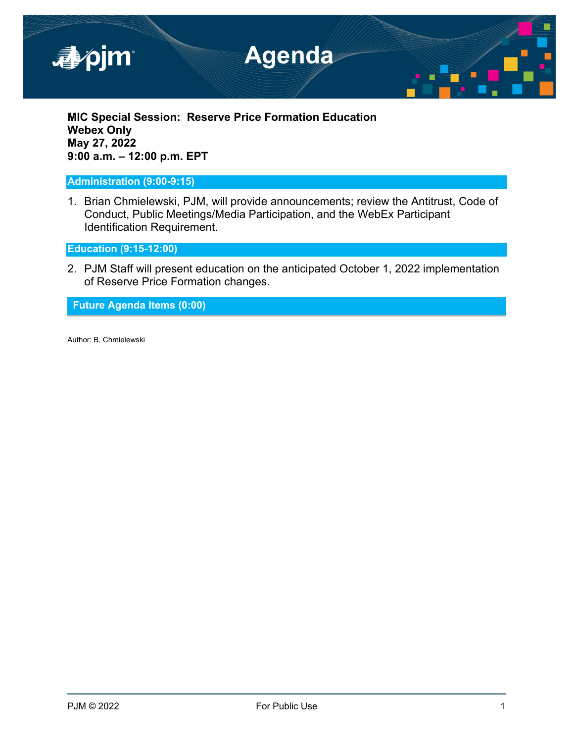

**MIC Special Session: Reserve Price Formation Education Webex Only May 27, 2022 9:00 a.m. – 12:00 p.m. EPT**

**Administration (9:00-9:15)**

1. Brian Chmielewski, PJM, will provide announcements; review the Antitrust, Code of Conduct, Public Meetings/Media Participation, and the WebEx Participant Identification Requirement.

**Education (9:15-12:00)**

2. PJM Staff will present education on the anticipated October 1, 2022 implementation of Reserve Price Formation changes.

**Future Agenda Items (0:00)**

Author: B. Chmielewski